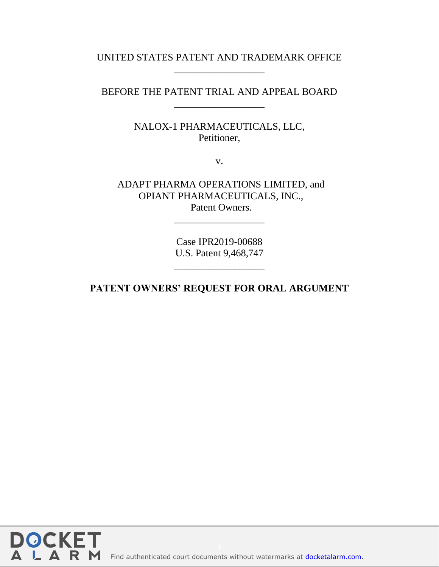## UNITED STATES PATENT AND TRADEMARK OFFICE \_\_\_\_\_\_\_\_\_\_\_\_\_\_\_\_\_\_

BEFORE THE PATENT TRIAL AND APPEAL BOARD \_\_\_\_\_\_\_\_\_\_\_\_\_\_\_\_\_\_

> NALOX-1 PHARMACEUTICALS, LLC, Petitioner,

> > v.

ADAPT PHARMA OPERATIONS LIMITED, and OPIANT PHARMACEUTICALS, INC., Patent Owners.

> Case IPR2019-00688 U.S. Patent 9,468,747

> \_\_\_\_\_\_\_\_\_\_\_\_\_\_\_\_\_\_

\_\_\_\_\_\_\_\_\_\_\_\_\_\_\_\_\_\_

**PATENT OWNERS' REQUEST FOR ORAL ARGUMENT**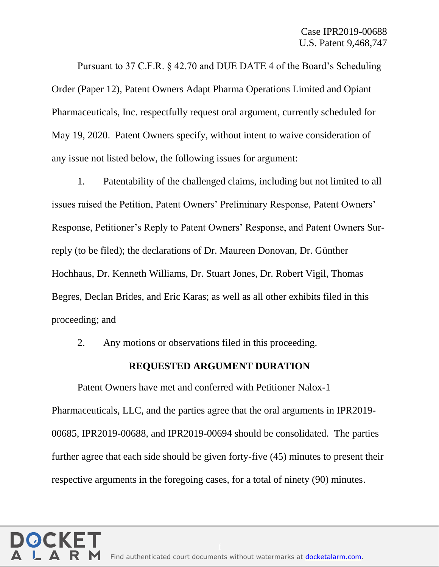Pursuant to 37 C.F.R. § 42.70 and DUE DATE 4 of the Board's Scheduling Order (Paper 12), Patent Owners Adapt Pharma Operations Limited and Opiant Pharmaceuticals, Inc. respectfully request oral argument, currently scheduled for May 19, 2020. Patent Owners specify, without intent to waive consideration of any issue not listed below, the following issues for argument:

1. Patentability of the challenged claims, including but not limited to all issues raised the Petition, Patent Owners' Preliminary Response, Patent Owners' Response, Petitioner's Reply to Patent Owners' Response, and Patent Owners Surreply (to be filed); the declarations of Dr. Maureen Donovan, Dr. Günther Hochhaus, Dr. Kenneth Williams, Dr. Stuart Jones, Dr. Robert Vigil, Thomas Begres, Declan Brides, and Eric Karas; as well as all other exhibits filed in this proceeding; and

2. Any motions or observations filed in this proceeding.

## **REQUESTED ARGUMENT DURATION**

Patent Owners have met and conferred with Petitioner Nalox-1 Pharmaceuticals, LLC, and the parties agree that the oral arguments in IPR2019- 00685, IPR2019-00688, and IPR2019-00694 should be consolidated. The parties further agree that each side should be given forty-five (45) minutes to present their respective arguments in the foregoing cases, for a total of ninety (90) minutes.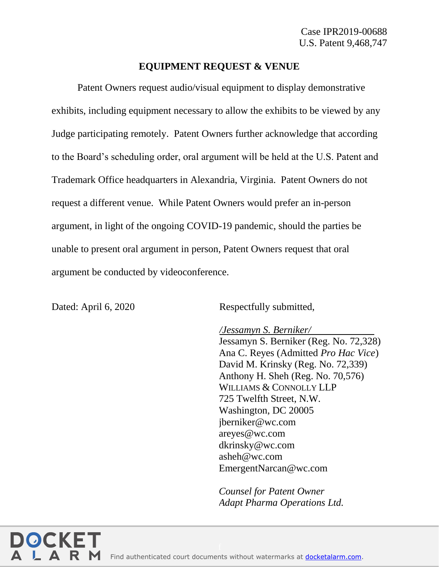## **EQUIPMENT REQUEST & VENUE**

Patent Owners request audio/visual equipment to display demonstrative exhibits, including equipment necessary to allow the exhibits to be viewed by any Judge participating remotely. Patent Owners further acknowledge that according to the Board's scheduling order, oral argument will be held at the U.S. Patent and Trademark Office headquarters in Alexandria, Virginia. Patent Owners do not request a different venue. While Patent Owners would prefer an in-person argument, in light of the ongoing COVID-19 pandemic, should the parties be unable to present oral argument in person, Patent Owners request that oral argument be conducted by videoconference.

Dated: April 6, 2020 Respectfully submitted,

*/Jessamyn S. Berniker/* Jessamyn S. Berniker (Reg. No. 72,328) Ana C. Reyes (Admitted *Pro Hac Vice*) David M. Krinsky (Reg. No. 72,339) Anthony H. Sheh (Reg. No. 70,576) WILLIAMS & CONNOLLY LLP 725 Twelfth Street, N.W. Washington, DC 20005 jberniker@wc.com areyes@wc.com dkrinsky@wc.com asheh@wc.com EmergentNarcan@wc.com

*Counsel for Patent Owner Adapt Pharma Operations Ltd.*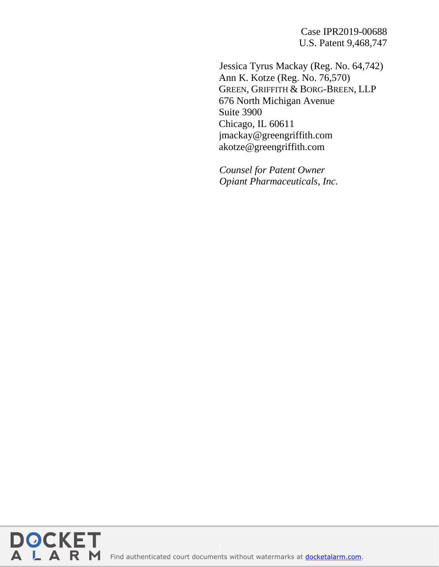Case IPR2019-00688 U.S. Patent 9,468,747

Jessica Tyrus Mackay (Reg. No. 64,742) Ann K. Kotze (Reg. No. 76,570) GREEN, GRIFFITH & BORG-BREEN, LLP 676 North Michigan Avenue Suite 3900 Chicago, IL 60611 jmackay@greengriffith.com akotze@greengriffith.com

*Counsel for Patent Owner Opiant Pharmaceuticals, Inc.*